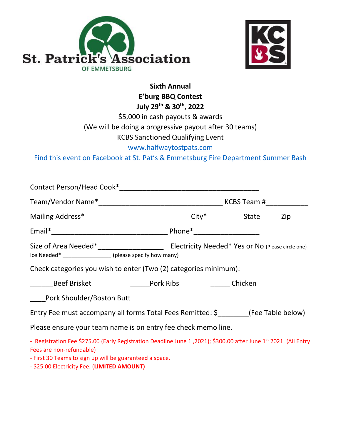



# **Sixth Annual E'burg BBQ Contest July 29th & 30 th, 2022** \$5,000 in cash payouts & awards

(We will be doing a progressive payout after 30 teams)

## KCBS Sanctioned Qualifying Event

### [www.halfwaytostpats.com](http://www.halfwaytostpats.com/)

Find this event on Facebook at St. Pat's & Emmetsburg Fire Department Summer Bash

| Mailing Address*_________________________________City*____________State_______Zip_______                                                                 |  |  |  |
|----------------------------------------------------------------------------------------------------------------------------------------------------------|--|--|--|
|                                                                                                                                                          |  |  |  |
| Ice Needed* _________________ (please specify how many)                                                                                                  |  |  |  |
| Check categories you wish to enter (Two (2) categories minimum):                                                                                         |  |  |  |
| <b>Example 18 Beef Brisket Chicken</b> Pork Ribs Chicken                                                                                                 |  |  |  |
| Pork Shoulder/Boston Butt                                                                                                                                |  |  |  |
| Entry Fee must accompany all forms Total Fees Remitted: $\frac{1}{2}$ (Fee Table below)                                                                  |  |  |  |
| Please ensure your team name is on entry fee check memo line.                                                                                            |  |  |  |
| - Registration Fee \$275.00 (Early Registration Deadline June 1, 2021); \$300.00 after June 1 <sup>st</sup> 2021. (All Entry<br>Fees are non-refundable) |  |  |  |

- First 30 Teams to sign up will be guaranteed a space.

- \$25.00 Electricity Fee. (**LIMITED AMOUNT)**